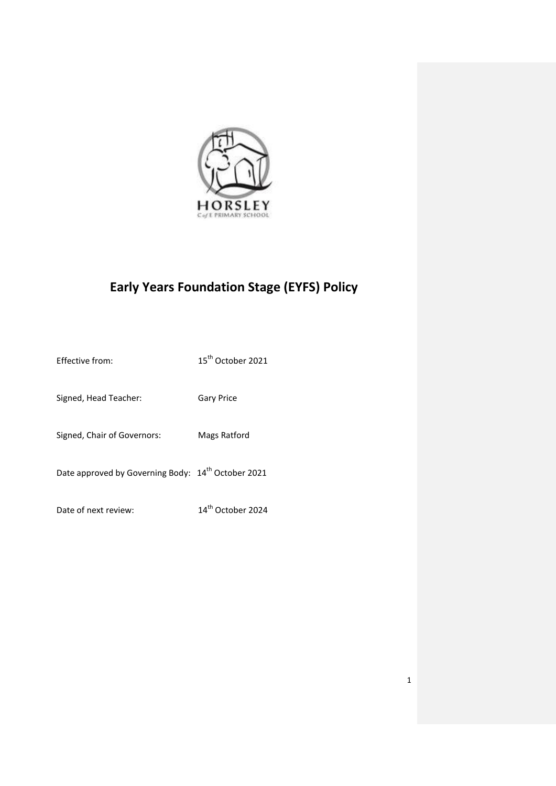

# **Early Years Foundation Stage (EYFS) Policy**

| Effective from:                                                | 15 <sup>th</sup> October 2021 |
|----------------------------------------------------------------|-------------------------------|
| Signed, Head Teacher:                                          | <b>Gary Price</b>             |
| Signed, Chair of Governors:                                    | Mags Ratford                  |
| Date approved by Governing Body: 14 <sup>th</sup> October 2021 |                               |
| Date of next review:                                           | 14 <sup>th</sup> October 2024 |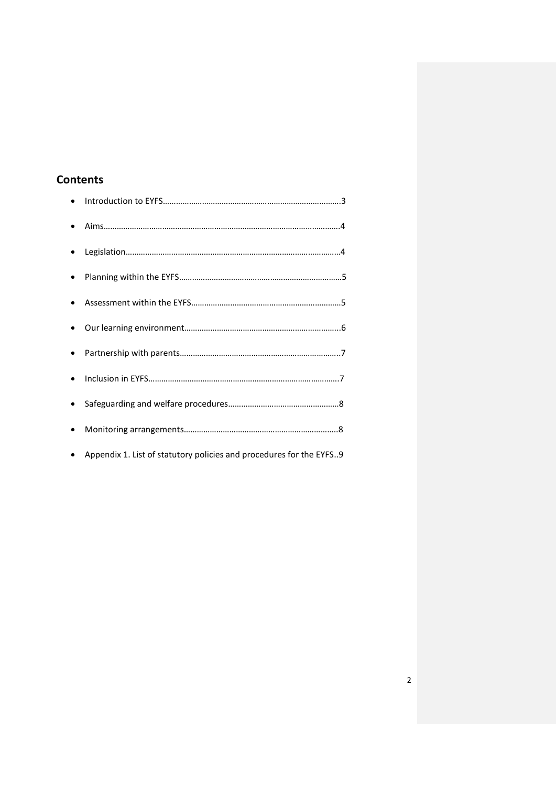# **Contents**

| $\bullet$ |                                                                     |
|-----------|---------------------------------------------------------------------|
|           |                                                                     |
|           |                                                                     |
|           |                                                                     |
|           |                                                                     |
|           |                                                                     |
|           |                                                                     |
|           |                                                                     |
|           |                                                                     |
|           |                                                                     |
|           | Appendix 1. List of statutory policies and procedures for the EYFS9 |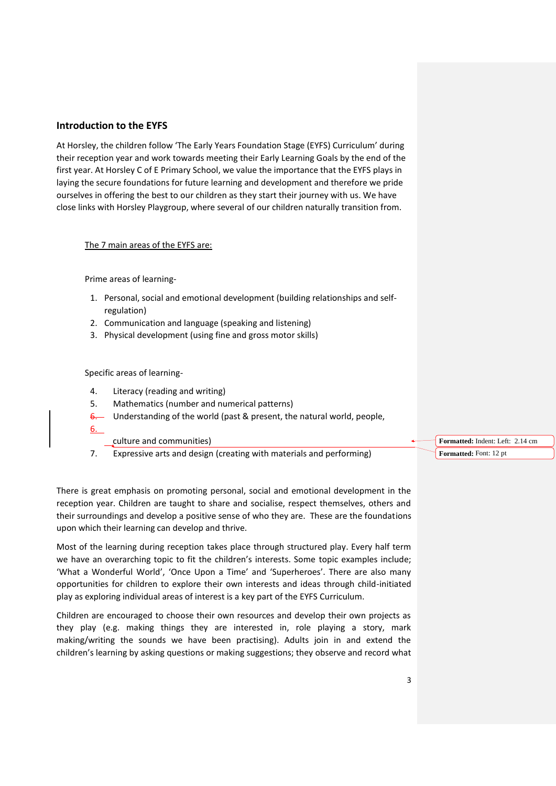# **Introduction to the EYFS**

At Horsley, the children follow 'The Early Years Foundation Stage (EYFS) Curriculum' during their reception year and work towards meeting their Early Learning Goals by the end of the first year. At Horsley C of E Primary School, we value the importance that the EYFS plays in laying the secure foundations for future learning and development and therefore we pride ourselves in offering the best to our children as they start their journey with us. We have close links with Horsley Playgroup, where several of our children naturally transition from.

#### The 7 main areas of the EYFS are:

Prime areas of learning-

- 1. Personal, social and emotional development (building relationships and selfregulation)
- 2. Communication and language (speaking and listening)
- 3. Physical development (using fine and gross motor skills)

#### Specific areas of learning-

- 4. Literacy (reading and writing)
- 5. Mathematics (number and numerical patterns)
- $6.$  Understanding of the world (past & present, the natural world, people,
- 6.

culture and communities)

7. Expressive arts and design (creating with materials and performing)

There is great emphasis on promoting personal, social and emotional development in the reception year. Children are taught to share and socialise, respect themselves, others and their surroundings and develop a positive sense of who they are. These are the foundations upon which their learning can develop and thrive.

Most of the learning during reception takes place through structured play. Every half term we have an overarching topic to fit the children's interests. Some topic examples include; 'What a Wonderful World', 'Once Upon a Time' and 'Superheroes'. There are also many opportunities for children to explore their own interests and ideas through child-initiated play as exploring individual areas of interest is a key part of the EYFS Curriculum.

Children are encouraged to choose their own resources and develop their own projects as they play (e.g. making things they are interested in, role playing a story, mark making/writing the sounds we have been practising). Adults join in and extend the children's learning by asking questions or making suggestions; they observe and record what **Formatted:** Indent: Left: 2.14 cm **Formatted:** Font: 12 pt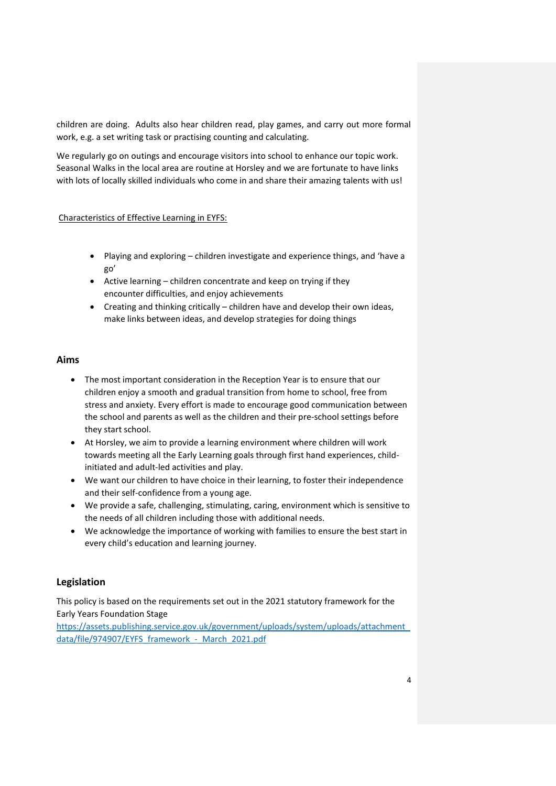children are doing. Adults also hear children read, play games, and carry out more formal work, e.g. a set writing task or practising counting and calculating.

We regularly go on outings and encourage visitors into school to enhance our topic work. Seasonal Walks in the local area are routine at Horsley and we are fortunate to have links with lots of locally skilled individuals who come in and share their amazing talents with us!

#### Characteristics of Effective Learning in EYFS:

- Playing and exploring children investigate and experience things, and 'have a go'
- Active learning children concentrate and keep on trying if they encounter difficulties, and enjoy achievements
- Creating and thinking critically children have and develop their own ideas, make links between ideas, and develop strategies for doing things

## **Aims**

- The most important consideration in the Reception Year is to ensure that our children enjoy a smooth and gradual transition from home to school, free from stress and anxiety. Every effort is made to encourage good communication between the school and parents as well as the children and their pre-school settings before they start school.
- At Horsley, we aim to provide a learning environment where children will work towards meeting all the Early Learning goals through first hand experiences, childinitiated and adult-led activities and play.
- We want our children to have choice in their learning, to foster their independence and their self-confidence from a young age.
- We provide a safe, challenging, stimulating, caring, environment which is sensitive to the needs of all children including those with additional needs.
- We acknowledge the importance of working with families to ensure the best start in every child's education and learning journey.

# **Legislation**

This policy is based on the requirements set out in the 2021 statutory framework for the Early Years Foundation Stage

[https://assets.publishing.service.gov.uk/government/uploads/system/uploads/attachment\\_](https://assets.publishing.service.gov.uk/government/uploads/system/uploads/attachment_data/file/974907/EYFS_framework_-_March_2021.pdf) data/file/974907/EYFS\_framework - March\_2021.pdf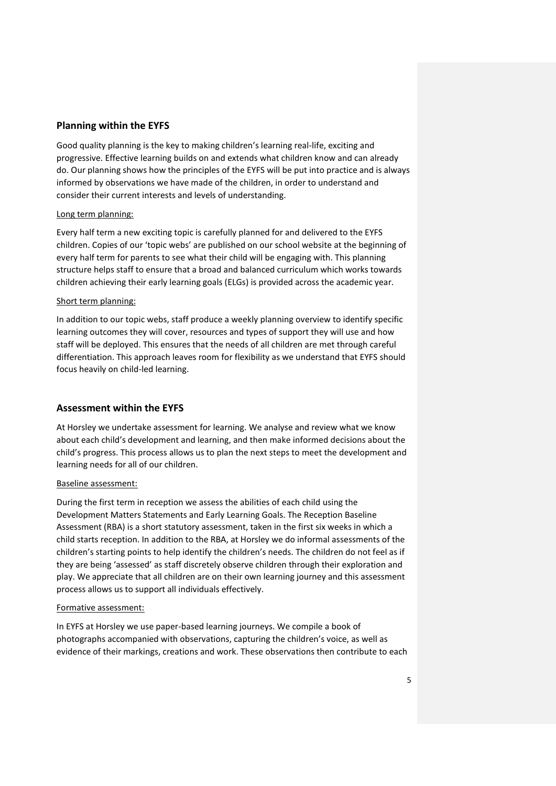## **Planning within the EYFS**

Good quality planning is the key to making children's learning real-life, exciting and progressive. Effective learning builds on and extends what children know and can already do. Our planning shows how the principles of the EYFS will be put into practice and is always informed by observations we have made of the children, in order to understand and consider their current interests and levels of understanding.

#### Long term planning:

Every half term a new exciting topic is carefully planned for and delivered to the EYFS children. Copies of our 'topic webs' are published on our school website at the beginning of every half term for parents to see what their child will be engaging with. This planning structure helps staff to ensure that a broad and balanced curriculum which works towards children achieving their early learning goals (ELGs) is provided across the academic year.

#### Short term planning:

In addition to our topic webs, staff produce a weekly planning overview to identify specific learning outcomes they will cover, resources and types of support they will use and how staff will be deployed. This ensures that the needs of all children are met through careful differentiation. This approach leaves room for flexibility as we understand that EYFS should focus heavily on child-led learning.

#### **Assessment within the EYFS**

At Horsley we undertake assessment for learning. We analyse and review what we know about each child's development and learning, and then make informed decisions about the child's progress. This process allows us to plan the next steps to meet the development and learning needs for all of our children.

#### Baseline assessment:

During the first term in reception we assess the abilities of each child using the Development Matters Statements and Early Learning Goals. The Reception Baseline Assessment (RBA) is a short statutory assessment, taken in the first six weeks in which a child starts reception. In addition to the RBA, at Horsley we do informal assessments of the children's starting points to help identify the children's needs. The children do not feel as if they are being 'assessed' as staff discretely observe children through their exploration and play. We appreciate that all children are on their own learning journey and this assessment process allows us to support all individuals effectively.

#### Formative assessment:

In EYFS at Horsley we use paper-based learning journeys. We compile a book of photographs accompanied with observations, capturing the children's voice, as well as evidence of their markings, creations and work. These observations then contribute to each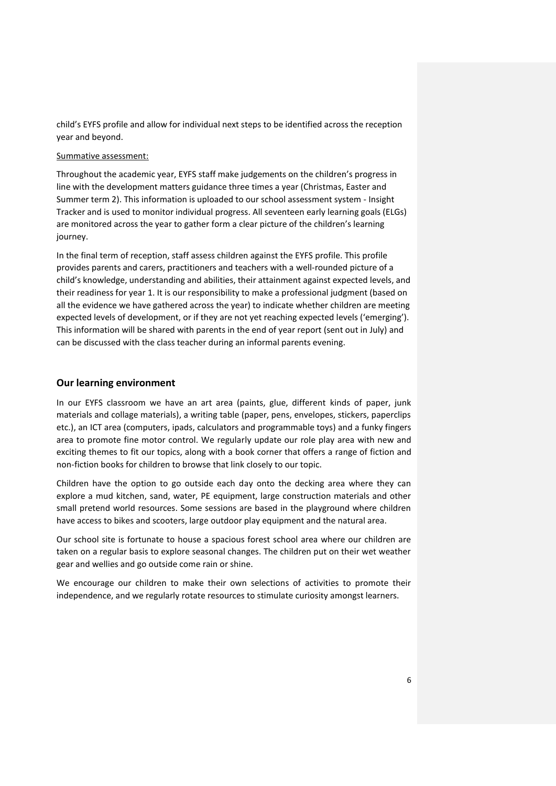child's EYFS profile and allow for individual next steps to be identified across the reception year and beyond.

#### Summative assessment:

Throughout the academic year, EYFS staff make judgements on the children's progress in line with the development matters guidance three times a year (Christmas, Easter and Summer term 2). This information is uploaded to our school assessment system - Insight Tracker and is used to monitor individual progress. All seventeen early learning goals (ELGs) are monitored across the year to gather form a clear picture of the children's learning journey.

In the final term of reception, staff assess children against the EYFS profile. This profile provides parents and carers, practitioners and teachers with a well-rounded picture of a child's knowledge, understanding and abilities, their attainment against expected levels, and their readiness for year 1. It is our responsibility to make a professional judgment (based on all the evidence we have gathered across the year) to indicate whether children are meeting expected levels of development, or if they are not yet reaching expected levels ('emerging'). This information will be shared with parents in the end of year report (sent out in July) and can be discussed with the class teacher during an informal parents evening.

## **Our learning environment**

In our EYFS classroom we have an art area (paints, glue, different kinds of paper, junk materials and collage materials), a writing table (paper, pens, envelopes, stickers, paperclips etc.), an ICT area (computers, ipads, calculators and programmable toys) and a funky fingers area to promote fine motor control. We regularly update our role play area with new and exciting themes to fit our topics, along with a book corner that offers a range of fiction and non-fiction books for children to browse that link closely to our topic.

Children have the option to go outside each day onto the decking area where they can explore a mud kitchen, sand, water, PE equipment, large construction materials and other small pretend world resources. Some sessions are based in the playground where children have access to bikes and scooters, large outdoor play equipment and the natural area.

Our school site is fortunate to house a spacious forest school area where our children are taken on a regular basis to explore seasonal changes. The children put on their wet weather gear and wellies and go outside come rain or shine.

We encourage our children to make their own selections of activities to promote their independence, and we regularly rotate resources to stimulate curiosity amongst learners.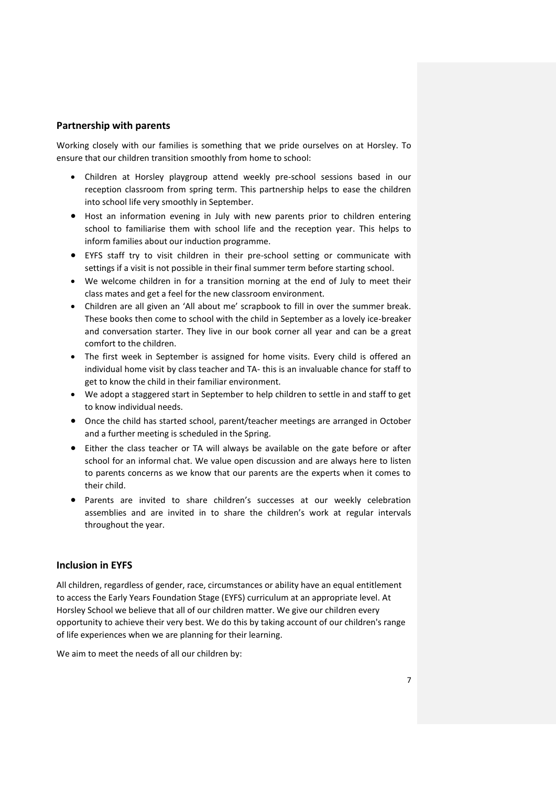#### **Partnership with parents**

Working closely with our families is something that we pride ourselves on at Horsley. To ensure that our children transition smoothly from home to school:

- Children at Horsley playgroup attend weekly pre-school sessions based in our reception classroom from spring term. This partnership helps to ease the children into school life very smoothly in September.
- Host an information evening in July with new parents prior to children entering school to familiarise them with school life and the reception year. This helps to inform families about our induction programme.
- EYFS staff try to visit children in their pre-school setting or communicate with settings if a visit is not possible in their final summer term before starting school.
- We welcome children in for a transition morning at the end of July to meet their class mates and get a feel for the new classroom environment.
- Children are all given an 'All about me' scrapbook to fill in over the summer break. These books then come to school with the child in September as a lovely ice-breaker and conversation starter. They live in our book corner all year and can be a great comfort to the children.
- The first week in September is assigned for home visits. Every child is offered an individual home visit by class teacher and TA- this is an invaluable chance for staff to get to know the child in their familiar environment.
- We adopt a staggered start in September to help children to settle in and staff to get to know individual needs.
- Once the child has started school, parent/teacher meetings are arranged in October and a further meeting is scheduled in the Spring.
- Either the class teacher or TA will always be available on the gate before or after school for an informal chat. We value open discussion and are always here to listen to parents concerns as we know that our parents are the experts when it comes to their child.
- Parents are invited to share children's successes at our weekly celebration assemblies and are invited in to share the children's work at regular intervals throughout the year.

#### **Inclusion in EYFS**

All children, regardless of gender, race, circumstances or ability have an equal entitlement to access the Early Years Foundation Stage (EYFS) curriculum at an appropriate level. At Horsley School we believe that all of our children matter. We give our children every opportunity to achieve their very best. We do this by taking account of our children's range of life experiences when we are planning for their learning.

We aim to meet the needs of all our children by: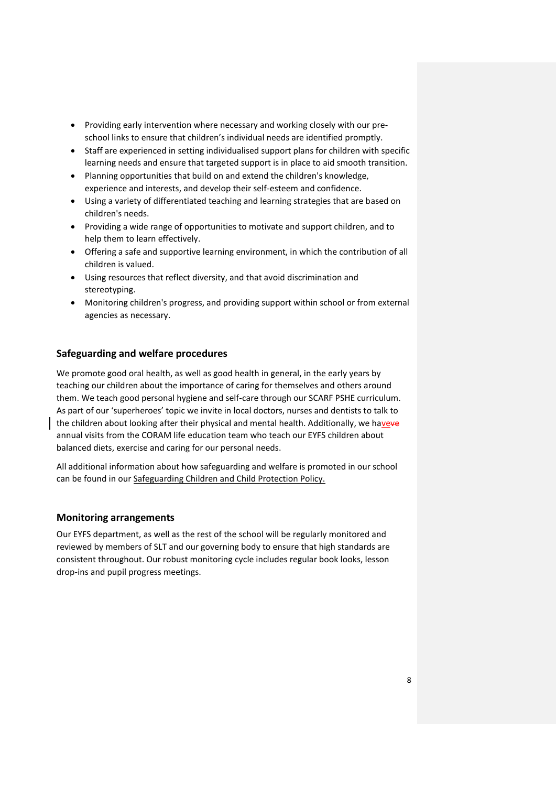- Providing early intervention where necessary and working closely with our preschool links to ensure that children's individual needs are identified promptly.
- Staff are experienced in setting individualised support plans for children with specific learning needs and ensure that targeted support is in place to aid smooth transition.
- Planning opportunities that build on and extend the children's knowledge, experience and interests, and develop their self-esteem and confidence.
- Using a variety of differentiated teaching and learning strategies that are based on children's needs.
- Providing a wide range of opportunities to motivate and support children, and to help them to learn effectively.
- Offering a safe and supportive learning environment, in which the contribution of all children is valued.
- Using resources that reflect diversity, and that avoid discrimination and stereotyping.
- Monitoring children's progress, and providing support within school or from external agencies as necessary.

# **Safeguarding and welfare procedures**

We promote good oral health, as well as good health in general, in the early years by teaching our children about the importance of caring for themselves and others around them. We teach good personal hygiene and self-care through our SCARF PSHE curriculum. As part of our 'superheroes' topic we invite in local doctors, nurses and dentists to talk to the children about looking after their physical and mental health. Additionally, we haveve annual visits from the CORAM life education team who teach our EYFS children about balanced diets, exercise and caring for our personal needs.

All additional information about how safeguarding and welfare is promoted in our school can be found in our Safeguarding Children and Child Protection Policy.

# **Monitoring arrangements**

Our EYFS department, as well as the rest of the school will be regularly monitored and reviewed by members of SLT and our governing body to ensure that high standards are consistent throughout. Our robust monitoring cycle includes regular book looks, lesson drop-ins and pupil progress meetings.